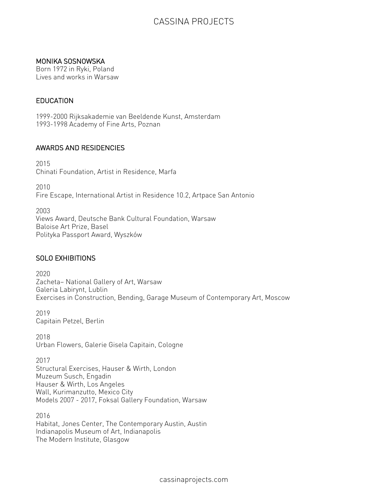## MONIKA SOSNOWSKA

Born 1972 in Ryki, Poland Lives and works in Warsaw

## **EDUCATION**

1999-2000 Rijksakademie van Beeldende Kunst, Amsterdam 1993-1998 Academy of Fine Arts, Poznan

## AWARDS AND RESIDENCIES

2015 Chinati Foundation, Artist in Residence, Marfa

2010 Fire Escape, International Artist in Residence 10.2, Artpace San Antonio

2003 Views Award, Deutsche Bank Cultural Foundation, Warsaw Baloise Art Prize, Basel Polityka Passport Award, Wyszków

## SOLO EXHIBITIONS

2020 Zacheta— National Gallery of Art, Warsaw Galeria Labirynt, Lublin Exercises in Construction, Bending, Garage Museum of Contemporary Art, Moscow

2019 Capitain Petzel, Berlin

2018 Urban Flowers, Galerie Gisela Capitain, Cologne

2017 Structural Exercises, Hauser & Wirth, London Muzeum Susch, Engadin Hauser & Wirth, Los Angeles Wall, Kurimanzutto, Mexico City Models 2007 - 2017, Foksal Gallery Foundation, Warsaw

2016 Habitat, Jones Center, The Contemporary Austin, Austin Indianapolis Museum of Art, Indianapolis The Modern Institute, Glasgow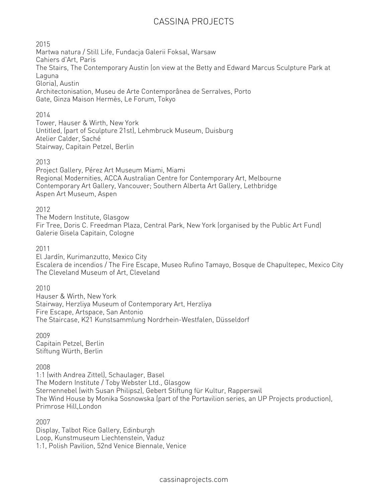2015

Martwa natura / Still Life, Fundacja Galerii Foksal, Warsaw Cahiers d'Art, Paris The Stairs, The Contemporary Austin (on view at the Betty and Edward Marcus Sculpture Park at Laguna Gloria), Austin Architectonisation, Museu de Arte Contemporânea de Serralves, Porto Gate, Ginza Maison Hermès, Le Forum, Tokyo

## 2014

Tower, Hauser & Wirth, New York Untitled, (part of Sculpture 21st), Lehmbruck Museum, Duisburg Atelier Calder, Saché Stairway, Capitain Petzel, Berlin

## 2013

Project Gallery, Pérez Art Museum Miami, Miami Regional Modernities, ACCA Australian Centre for Contemporary Art, Melbourne Contemporary Art Gallery, Vancouver; Southern Alberta Art Gallery, Lethbridge Aspen Art Museum, Aspen

## 2012

The Modern Institute, Glasgow Fir Tree, Doris C. Freedman Plaza, Central Park, New York (organised by the Public Art Fund) Galerie Gisela Capitain, Cologne

#### 2011

El Jardín, Kurimanzutto, Mexico City Escalera de incendios / The Fire Escape, Museo Rufino Tamayo, Bosque de Chapultepec, Mexico City The Cleveland Museum of Art, Cleveland

#### 2010

Hauser & Wirth, New York Stairway, Herzliya Museum of Contemporary Art, Herzliya Fire Escape, Artspace, San Antonio The Staircase, K21 Kunstsammlung Nordrhein-Westfalen, Düsseldorf

2009 Capitain Petzel, Berlin Stiftung Würth, Berlin

#### 2008

1:1 (with Andrea Zittel), Schaulager, Basel The Modern Institute / Toby Webster Ltd., Glasgow Sternennebel (with Susan Philipsz), Gebert Stiftung für Kultur, Rapperswil The Wind House by Monika Sosnowska (part of the Portavilion series, an UP Projects production), Primrose Hill,London

2007

Display, Talbot Rice Gallery, Edinburgh Loop, Kunstmuseum Liechtenstein, Vaduz 1:1, Polish Pavilion, 52nd Venice Biennale, Venice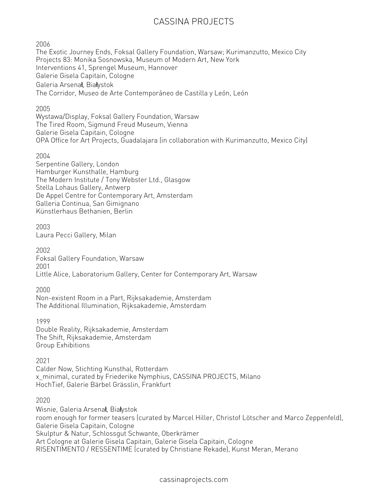2006

The Exotic Journey Ends, Foksal Gallery Foundation, Warsaw; Kurimanzutto, Mexico City Projects 83: Monika Sosnowska, Museum of Modern Art, New York Interventions 41, Sprengel Museum, Hannover Galerie Gisela Capitain, Cologne Galeria Arsena**ł**, Bia**ł**ystok The Corridor, Museo de Arte Contemporáneo de Castilla y León, León

## 2005

Wystawa/Display, Foksal Gallery Foundation, Warsaw The Tired Room, Sigmund Freud Museum, Vienna Galerie Gisela Capitain, Cologne OPA Office for Art Projects, Guadalajara (in collaboration with Kurimanzutto, Mexico City)

#### 2004

Serpentine Gallery, London Hamburger Kunsthalle, Hamburg The Modern Institute / Tony Webster Ltd., Glasgow Stella Lohaus Gallery, Antwerp De Appel Centre for Contemporary Art, Amsterdam Galleria Continua, San Gimignano Künstlerhaus Bethanien, Berlin

## 2003

Laura Pecci Gallery, Milan

#### 2002

Foksal Gallery Foundation, Warsaw 2001 Little Alice, Laboratorium Gallery, Center for Contemporary Art, Warsaw

#### 2000

Non-existent Room in a Part, Rijksakademie, Amsterdam The Additional Illumination, Rijksakademie, Amsterdam

1999

Double Reality, Rijksakademie, Amsterdam The Shift, Rijksakademie, Amsterdam Group Exhibitions

#### 2021

Calder Now, Stichting Kunsthal, Rotterdam x\_minimal, curated by Friederike Nymphius, CASSINA PROJECTS, Milano HochTief, Galerie Bärbel Grässlin, Frankfurt

#### 2020

Wisnie, Galeria Arsena**ł**, Bia**ł**ystok room enough for former teasers (curated by Marcel Hiller, Christof Lötscher and Marco Zeppenfeld), Galerie Gisela Capitain, Cologne Skulptur & Natur, Schlossgut Schwante, Oberkrämer Art Cologne at Galerie Gisela Capitain, Galerie Gisela Capitain, Cologne RISENTIMENTO / RESSENTIME (curated by Christiane Rekade), Kunst Meran, Merano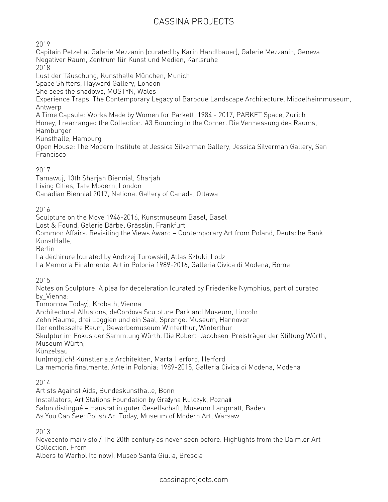2019

Capitain Petzel at Galerie Mezzanin (curated by Karin Handlbauer), Galerie Mezzanin, Geneva Negativer Raum, Zentrum für Kunst und Medien, Karlsruhe 2018 Lust der Täuschung, Kunsthalle München, Munich Space Shifters, Hayward Gallery, London She sees the shadows, MOSTYN, Wales Experience Traps. The Contemporary Legacy of Baroque Landscape Architecture, Middelheimmuseum, Antwerp A Time Capsule: Works Made by Women for Parkett, 1984 - 2017, PARKET Space, Zurich Honey, I rearranged the Collection. #3 Bouncing in the Corner. Die Vermessung des Raums, Hamburger Kunsthalle, Hamburg Open House: The Modern Institute at Jessica Silverman Gallery, Jessica Silverman Gallery, San Francisco

## 2017

Tamawuj, 13th Sharjah Biennial, Sharjah Living Cities, Tate Modern, London Canadian Biennial 2017, National Gallery of Canada, Ottawa

2016

Sculpture on the Move 1946-2016, Kunstmuseum Basel, Basel

Lost & Found, Galerie Bärbel Grässlin, Frankfurt

Common Affairs. Revisiting the Views Award — Contemporary Art from Poland, Deutsche Bank KunstHalle,

Berlin

La déchirure (curated by Andrzej Turowski), Atlas Sztuki, Lodz

La Memoria Finalmente. Art in Polonia 1989-2016, Galleria Civica di Modena, Rome

2015

Notes on Sculpture. A plea for deceleration (curated by Friederike Nymphius, part of curated by\_Vienna:

Tomorrow Today), Krobath, Vienna

Architectural Allusions, deCordova Sculpture Park and Museum, Lincoln

Zehn Raume, drei Loggien und ein Saal, Sprengel Museum, Hannover

Der entfesselte Raum, Gewerbemuseum Winterthur, Winterthur

Skulptur im Fokus der Sammlung Würth. Die Robert-Jacobsen-Preisträger der Stiftung Würth, Museum Würth,

Künzelsau

(un)möglich! Künstler als Architekten, Marta Herford, Herford

La memoria finalmente. Arte in Polonia: 1989-2015, Galleria Civica di Modena, Modena

2014

Artists Against Aids, Bundeskunsthalle, Bonn

Installators, Art Stations Foundation by Gra**ż**yna Kulczyk, Pozna**ń**

Salon distingué — Hausrat in guter Gesellschaft, Museum Langmatt, Baden

As You Can See: Polish Art Today, Museum of Modern Art, Warsaw

2013

Novecento mai visto / The 20th century as never seen before. Highlights from the Daimler Art Collection. From

Albers to Warhol (to now), Museo Santa Giulia, Brescia

cassinaprojects.com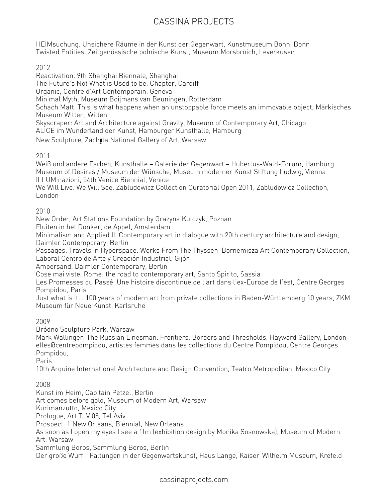HEIMsuchung. Unsichere Räume in der Kunst der Gegenwart, Kunstmuseum Bonn, Bonn Twisted Entities. Zeitgenössische polnische Kunst, Museum Morsbroich, Leverkusen

2012

Reactivation. 9th Shanghai Biennale, Shanghai The Future's Not What is Used to be, Chapter, Cardiff Organic, Centre d'Art Contemporain, Geneva Minimal Myth, Museum Boijmans van Beuningen, Rotterdam Schach Matt. This is what happens when an unstoppable force meets an immovable object, Märkisches Museum Witten, Witten Skyscraper: Art and Architecture against Gravity, Museum of Contemporary Art, Chicago ALICE im Wunderland der Kunst, Hamburger Kunsthalle, Hamburg New Sculpture, Zach**ę**ta National Gallery of Art, Warsaw 2011

Weiß und andere Farben, Kunsthalle — Galerie der Gegenwart — Hubertus-Wald-Forum, Hamburg Museum of Desires / Museum der Wünsche, Museum moderner Kunst Stiftung Ludwig, Vienna ILLUMinazioni, 54th Venice Biennial, Venice

We Will Live. We Will See. Zabludowicz Collection Curatorial Open 2011, Zabludowicz Collection, London

2010

New Order, Art Stations Foundation by Grazyna Kulczyk, Poznan

Fluiten in het Donker, de Appel, Amsterdam

Minimalism and Applied II. Contemporary art in dialogue with 20th century architecture and design, Daimler Contemporary, Berlin

Passages. Travels in Hyperspace. Works From The Thyssen—Bornemisza Art Contemporary Collection, Laboral Centro de Arte y Creación Industrial, Gijón

Ampersand, Daimler Contemporary, Berlin

Cose mai viste, Rome: the road to contemporary art, Santo Spirito, Sassia

Les Promesses du Passé. Une histoire discontinue de l'art dans l'ex-Europe de l'est, Centre Georges Pompidou, Paris

Just what is it... 100 years of modern art from private collections in Baden-Württemberg 10 years, ZKM Museum für Neue Kunst, Karlsruhe

2009

Bródno Sculpture Park, Warsaw

Mark Wallinger: The Russian Linesman. Frontiers, Borders and Thresholds, Hayward Gallery, London elles@centrepompidou, artistes femmes dans les collections du Centre Pompidou, Centre Georges Pompidou,

Paris

10th Arquine International Architecture and Design Convention, Teatro Metropolitan, Mexico City

2008

Kunst im Heim, Capitain Petzel, Berlin Art comes before gold, Museum of Modern Art, Warsaw Kurimanzutto, Mexico City Prologue, Art TLV 08, Tel Aviv Prospect. 1 New Orleans, Biennial, New Orleans As soon as I open my eyes I see a film (exhibition design by Monika Sosnowska), Museum of Modern Art, Warsaw Sammlung Boros, Sammlung Boros, Berlin Der große Wurf - Faltungen in der Gegenwartskunst, Haus Lange, Kaiser-Wilhelm Museum, Krefeld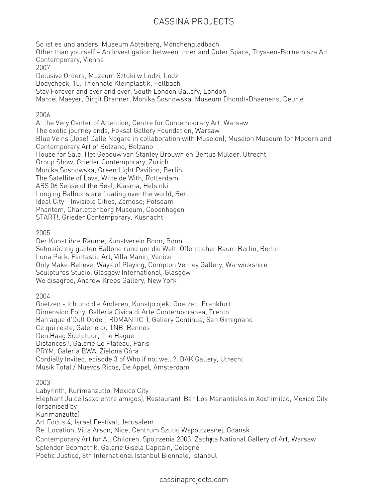So ist es und anders, Museum Abteiberg, Mönchengladbach Other than yourself — An Investigation between Inner and Outer Space, Thyssen-Bornemisza Art Contemporary, Vienna 2007 Delusive Orders, Muzeum Sztuki w Lodzi, Lodz Bodycheck, 10. Triennale Kleinplastik, Fellbach Stay Forever and ever and ever, South London Gallery, London Marcel Maeyer, Birgit Brenner, Monika Sosnowska, Museum Dhondt-Dhaenens, Deurle 2006 At the Very Center of Attention, Centre for Contemporary Art, Warsaw The exotic journey ends, Foksal Gallery Foundation, Warsaw Blue Veins (Josef Dalle Nogare in collaboration with Museion), Museion Museum for Modern and Contemporary Art of Bolzano, Bolzano House for Sale, Het Gebouw van Stanley Brouwn en Bertus Mulder, Utrecht Group Show, Grieder Contemporary, Zurich Monika Sosnowska, Green Light Pavilion, Berlin The Satellite of Love, Witte de With, Rotterdam ARS 06 Sense of the Real, Kiasma, Helsinki Longing Balloons are floating over the world, Berlin Ideal City - Invisible Cities, Zamosc; Potsdam Phantom, Charlottenborg Museum, Copenhagen START!, Grieder Contemporary, Küsnacht

2005

Der Kunst ihre Räume, Kunstverein Bonn, Bonn Sehnsüchtig gleiten Ballone rund um die Welt, Öffentlicher Raum Berlin, Berlin Luna Park. Fantastic Art, Villa Manin, Venice Only Make-Believe: Ways of Playing, Compton Verney Gallery, Warwickshire Sculptures Studio, Glasgow International, Glasgow We disagree, Andrew Kreps Gallery, New York

2004

Goetzen - Ich und die Anderen, Kunstprojekt Goetzen, Frankfurt Dimension Folly, Galleria Civica di Arte Contemporanea, Trento Barraque d'Dull Odde (-ROMANTIC-), Gallery Continua, San Gimignano Ce qui reste, Galerie du TNB, Rennes Den Haag Sculptuur, The Hague Distances?, Galerie Le Plateau, Paris PRYM, Galeria BWA, Zielona Góra Cordially Invited, episode 3 of Who if not we…?, BAK Gallery, Utrecht Musik Total / Nuevos Ricos, De Appel, Amsterdam

2003

Labyrinth, Kurimanzutto, Mexico City Elephant Juice (sexo entre amigos), Restaurant-Bar Los Manantiales in Xochimilco, Mexico City (organised by Kurimanzutto) Art Focus 4, Israel Festival, Jerusalem Re: Location, Villa Arson, Nice; Centrum Szutki Wspolczesnej, Gdansk Contemporary Art for All Children, Spojrzenia 2003, Zach**ę**ta National Gallery of Art, Warsaw Splendor Geometrik, Galerie Gisela Capitain, Cologne Poetic Justice, 8th International Istanbul Biennale, Istanbul